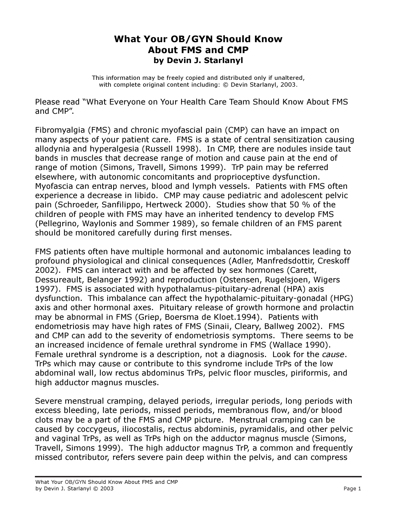## What Your OB/GYN Should Know About FMS and CMP by Devin J. Starlanyl

This information may be freely copied and distributed only if unaltered, with complete original content including: © Devin Starlanyl, 2003.

Please read "What Everyone on Your Health Care Team Should Know About FMS and CMP".

Fibromyalgia (FMS) and chronic myofascial pain (CMP) can have an impact on many aspects of your patient care. FMS is a state of central sensitization causing allodynia and hyperalgesia (Russell 1998). In CMP, there are nodules inside taut bands in muscles that decrease range of motion and cause pain at the end of range of motion (Simons, Travell, Simons 1999). TrP pain may be referred elsewhere, with autonomic concomitants and proprioceptive dysfunction. Myofascia can entrap nerves, blood and lymph vessels. Patients with FMS often experience a decrease in libido. CMP may cause pediatric and adolescent pelvic pain (Schroeder, Sanfilippo, Hertweck 2000). Studies show that 50 % of the children of people with FMS may have an inherited tendency to develop FMS (Pellegrino, Waylonis and Sommer 1989), so female children of an FMS parent should be monitored carefully during first menses.

FMS patients often have multiple hormonal and autonomic imbalances leading to profound physiological and clinical consequences (Adler, Manfredsdottir, Creskoff 2002). FMS can interact with and be affected by sex hormones (Carett, Dessureault, Belanger 1992) and reproduction (Ostensen, Rugelsjoen, Wigers 1997). FMS is associated with hypothalamus-pituitary-adrenal (HPA) axis dysfunction. This imbalance can affect the hypothalamic-pituitary-gonadal (HPG) axis and other hormonal axes. Pituitary release of growth hormone and prolactin may be abnormal in FMS (Griep, Boersma de Kloet.1994). Patients with endometriosis may have high rates of FMS (Sinaii, Cleary, Ballweg 2002). FMS and CMP can add to the severity of endometriosis symptoms. There seems to be an increased incidence of female urethral syndrome in FMS (Wallace 1990). Female urethral syndrome is a description, not a diagnosis. Look for the cause. TrPs which may cause or contribute to this syndrome include TrPs of the low abdominal wall, low rectus abdominus TrPs, pelvic floor muscles, piriformis, and high adductor magnus muscles.

Severe menstrual cramping, delayed periods, irregular periods, long periods with excess bleeding, late periods, missed periods, membranous flow, and/or blood clots may be a part of the FMS and CMP picture. Menstrual cramping can be caused by coccygeus, iliocostalis, rectus abdominis, pyramidalis, and other pelvic and vaginal TrPs, as well as TrPs high on the adductor magnus muscle (Simons, Travell, Simons 1999). The high adductor magnus TrP, a common and frequently missed contributor, refers severe pain deep within the pelvis, and can compress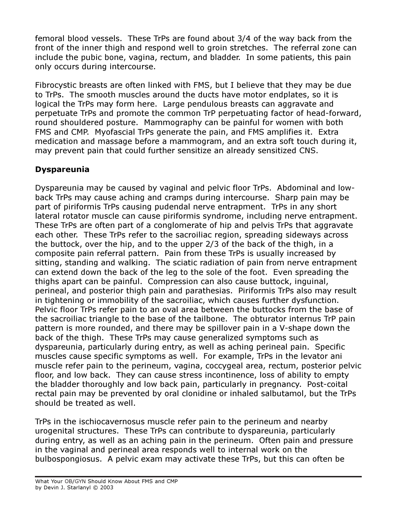femoral blood vessels. These TrPs are found about 3/4 of the way back from the front of the inner thigh and respond well to groin stretches. The referral zone can include the pubic bone, vagina, rectum, and bladder. In some patients, this pain only occurs during intercourse.

Fibrocystic breasts are often linked with FMS, but I believe that they may be due to TrPs. The smooth muscles around the ducts have motor endplates, so it is logical the TrPs may form here. Large pendulous breasts can aggravate and perpetuate TrPs and promote the common TrP perpetuating factor of head-forward, round shouldered posture. Mammography can be painful for women with both FMS and CMP. Myofascial TrPs generate the pain, and FMS amplifies it. Extra medication and massage before a mammogram, and an extra soft touch during it, may prevent pain that could further sensitize an already sensitized CNS.

## Dyspareunia

Dyspareunia may be caused by vaginal and pelvic floor TrPs. Abdominal and lowback TrPs may cause aching and cramps during intercourse. Sharp pain may be part of piriformis TrPs causing pudendal nerve entrapment. TrPs in any short lateral rotator muscle can cause piriformis syndrome, including nerve entrapment. These TrPs are often part of a conglomerate of hip and pelvis TrPs that aggravate each other. These TrPs refer to the sacroiliac region, spreading sideways across the buttock, over the hip, and to the upper 2/3 of the back of the thigh, in a composite pain referral pattern. Pain from these TrPs is usually increased by sitting, standing and walking. The sciatic radiation of pain from nerve entrapment can extend down the back of the leg to the sole of the foot. Even spreading the thighs apart can be painful. Compression can also cause buttock, inguinal, perineal, and posterior thigh pain and parathesias. Piriformis TrPs also may result in tightening or immobility of the sacroiliac, which causes further dysfunction. Pelvic floor TrPs refer pain to an oval area between the buttocks from the base of the sacroiliac triangle to the base of the tailbone. The obturator internus TrP pain pattern is more rounded, and there may be spillover pain in a V-shape down the back of the thigh. These TrPs may cause generalized symptoms such as dyspareunia, particularly during entry, as well as aching perineal pain. Specific muscles cause specific symptoms as well. For example, TrPs in the levator ani muscle refer pain to the perineum, vagina, coccygeal area, rectum, posterior pelvic floor, and low back. They can cause stress incontinence, loss of ability to empty the bladder thoroughly and low back pain, particularly in pregnancy. Post-coital rectal pain may be prevented by oral clonidine or inhaled salbutamol, but the TrPs should be treated as well.

TrPs in the ischiocavernosus muscle refer pain to the perineum and nearby urogenital structures. These TrPs can contribute to dyspareunia, particularly during entry, as well as an aching pain in the perineum. Often pain and pressure in the vaginal and perineal area responds well to internal work on the bulbospongiosus. A pelvic exam may activate these TrPs, but this can often be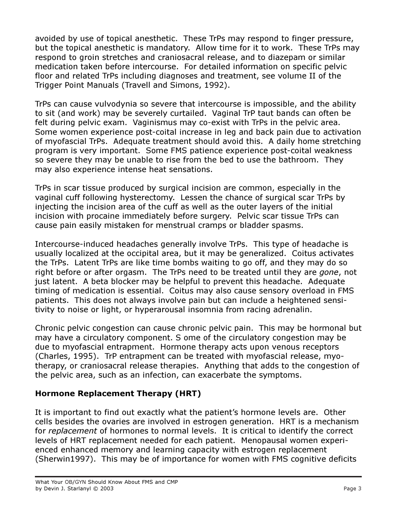avoided by use of topical anesthetic. These TrPs may respond to finger pressure, but the topical anesthetic is mandatory. Allow time for it to work. These TrPs may respond to groin stretches and craniosacral release, and to diazepam or similar medication taken before intercourse. For detailed information on specific pelvic floor and related TrPs including diagnoses and treatment, see volume II of the Trigger Point Manuals (Travell and Simons, 1992).

TrPs can cause vulvodynia so severe that intercourse is impossible, and the ability to sit (and work) may be severely curtailed. Vaginal TrP taut bands can often be felt during pelvic exam. Vaginismus may co-exist with TrPs in the pelvic area. Some women experience post-coital increase in leg and back pain due to activation of myofascial TrPs. Adequate treatment should avoid this. A daily home stretching program is very important. Some FMS patience experience post-coital weakness so severe they may be unable to rise from the bed to use the bathroom. They may also experience intense heat sensations.

TrPs in scar tissue produced by surgical incision are common, especially in the vaginal cuff following hysterectomy. Lessen the chance of surgical scar TrPs by injecting the incision area of the cuff as well as the outer layers of the initial incision with procaine immediately before surgery. Pelvic scar tissue TrPs can cause pain easily mistaken for menstrual cramps or bladder spasms.

Intercourse-induced headaches generally involve TrPs. This type of headache is usually localized at the occipital area, but it may be generalized. Coitus activates the TrPs. Latent TrPs are like time bombs waiting to go off, and they may do so right before or after orgasm. The TrPs need to be treated until they are *gone,* not just latent. A beta blocker may be helpful to prevent this headache. Adequate timing of medication is essential. Coitus may also cause sensory overload in FMS patients. This does not always involve pain but can include a heightened sensitivity to noise or light, or hyperarousal insomnia from racing adrenalin.

Chronic pelvic congestion can cause chronic pelvic pain. This may be hormonal but may have a circulatory component. S ome of the circulatory congestion may be due to myofascial entrapment. Hormone therapy acts upon venous receptors (Charles, 1995). TrP entrapment can be treated with myofascial release, myotherapy, or craniosacral release therapies. Anything that adds to the congestion of the pelvic area, such as an infection, can exacerbate the symptoms.

### Hormone Replacement Therapy (HRT)

It is important to find out exactly what the patient's hormone levels are. Other cells besides the ovaries are involved in estrogen generation. HRT is a mechanism for replacement of hormones to normal levels. It is critical to identify the correct levels of HRT replacement needed for each patient. Menopausal women experienced enhanced memory and learning capacity with estrogen replacement (Sherwin1997). This may be of importance for women with FMS cognitive deficits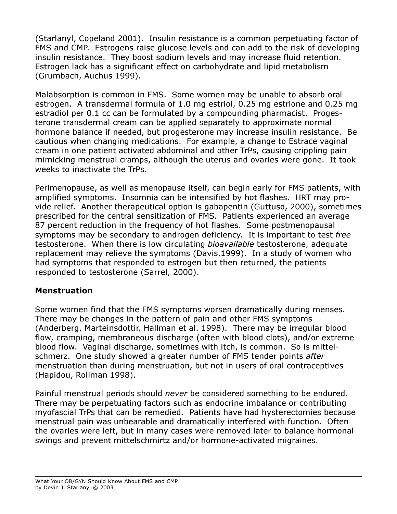(Starlanyl, Copeland 2001). Insulin resistance is a common perpetuating factor of FMS and CMP. Estrogens raise glucose levels and can add to the risk of developing insulin resistance. They boost sodium levels and may increase fluid retention. Estrogen lack has a significant effect on carbohydrate and lipid metabolism (Grumbach, Auchus 1999).

Malabsorption is common in FMS. Some women may be unable to absorb oral estrogen. A transdermal formula of 1.0 mg estriol, 0.25 mg estrione and 0.25 mg estradiol per 0.1 cc can be formulated by a compounding pharmacist. Progesterone transdermal cream can be applied separately to approximate normal hormone balance if needed, but progesterone may increase insulin resistance. Be cautious when changing medications. For example, a change to Estrace vaginal cream in one patient activated abdominal and other TrPs, causing crippling pain mimicking menstrual cramps, although the uterus and ovaries were gone. It took weeks to inactivate the TrPs.

Perimenopause, as well as menopause itself, can begin early for FMS patients, with amplified symptoms. Insomnia can be intensified by hot flashes. HRT may provide relief. Another therapeutical option is gabapentin (Guttuso, 2000), sometimes prescribed for the central sensitization of FMS. Patients experienced an average 87 percent reduction in the frequency of hot flashes. Some postmenopausal symptoms may be secondary to androgen deficiency. It is important to test free testosterone. When there is low circulating bioavailable testosterone, adequate replacement may relieve the symptoms (Davis,1999). In a study of women who had symptoms that responded to estrogen but then returned, the patients responded to testosterone (Sarrel, 2000).

#### Menstruation

Some women find that the FMS symptoms worsen dramatically during menses. There may be changes in the pattern of pain and other FMS symptoms (Anderberg, Marteinsdottir, Hallman et al. 1998). There may be irregular blood flow, cramping, membraneous discharge (often with blood clots), and/or extreme blood flow. Vaginal discharge, sometimes with itch, is common. So is mittelschmerz. One study showed a greater number of FMS tender points after menstruation than during menstruation, but not in users of oral contraceptives (Hapidou, Rollman 1998).

Painful menstrual periods should never be considered something to be endured. There may be perpetuating factors such as endocrine imbalance or contributing myofascial TrPs that can be remedied. Patients have had hysterectomies because menstrual pain was unbearable and dramatically interfered with function. Often the ovaries were left, but in many cases were removed later to balance hormonal swings and prevent mittelschmirtz and/or hormone-activated migraines.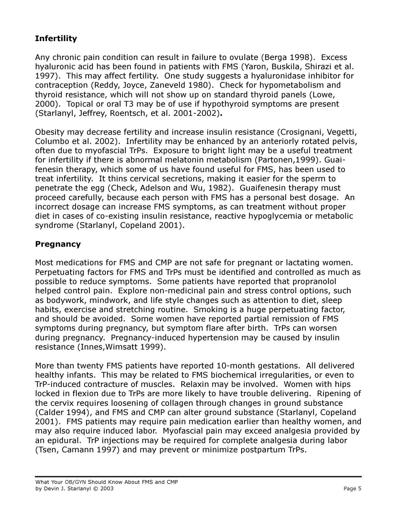# Infertility

Any chronic pain condition can result in failure to ovulate (Berga 1998). Excess hyaluronic acid has been found in patients with FMS (Yaron, Buskila, Shirazi et al. 1997). This may affect fertility. One study suggests a hyaluronidase inhibitor for contraception (Reddy, Joyce, Zaneveld 1980). Check for hypometabolism and thyroid resistance, which will not show up on standard thyroid panels (Lowe, 2000). Topical or oral T3 may be of use if hypothyroid symptoms are present (Starlanyl, Jeffrey, Roentsch, et al. 2001-2002).

Obesity may decrease fertility and increase insulin resistance (Crosignani, Vegetti, Columbo et al. 2002). Infertility may be enhanced by an anteriorly rotated pelvis, often due to myofascial TrPs. Exposure to bright light may be a useful treatment for infertility if there is abnormal melatonin metabolism (Partonen,1999). Guaifenesin therapy, which some of us have found useful for FMS, has been used to treat infertility. It thins cervical secretions, making it easier for the sperm to penetrate the egg (Check, Adelson and Wu, 1982). Guaifenesin therapy must proceed carefully, because each person with FMS has a personal best dosage. An incorrect dosage can increase FMS symptoms, as can treatment without proper diet in cases of co-existing insulin resistance, reactive hypoglycemia or metabolic syndrome (Starlanyl, Copeland 2001).

### **Pregnancy**

Most medications for FMS and CMP are not safe for pregnant or lactating women. Perpetuating factors for FMS and TrPs must be identified and controlled as much as possible to reduce symptoms. Some patients have reported that propranolol helped control pain. Explore non-medicinal pain and stress control options, such as bodywork, mindwork, and life style changes such as attention to diet, sleep habits, exercise and stretching routine. Smoking is a huge perpetuating factor, and should be avoided. Some women have reported partial remission of FMS symptoms during pregnancy, but symptom flare after birth. TrPs can worsen during pregnancy. Pregnancy-induced hypertension may be caused by insulin resistance (Innes,Wimsatt 1999).

More than twenty FMS patients have reported 10-month gestations. All delivered healthy infants. This may be related to FMS biochemical irregularities, or even to TrP-induced contracture of muscles. Relaxin may be involved. Women with hips locked in flexion due to TrPs are more likely to have trouble delivering. Ripening of the cervix requires loosening of collagen through changes in ground substance (Calder 1994), and FMS and CMP can alter ground substance (Starlanyl, Copeland 2001). FMS patients may require pain medication earlier than healthy women, and may also require induced labor. Myofascial pain may exceed analgesia provided by an epidural. TrP injections may be required for complete analgesia during labor (Tsen, Camann 1997) and may prevent or minimize postpartum TrPs.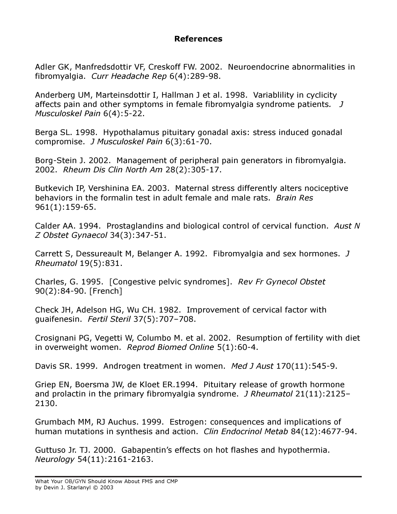#### References

Adler GK, Manfredsdottir VF, Creskoff FW. 2002. Neuroendocrine abnormalities in fibromyalgia. Curr Headache Rep 6(4):289-98.

Anderberg UM, Marteinsdottir I, Hallman J et al. 1998. Variablility in cyclicity affects pain and other symptoms in female fibromyalgia syndrome patients. J Musculoskel Pain 6(4):5-22.

Berga SL. 1998. Hypothalamus pituitary gonadal axis: stress induced gonadal compromise. J Musculoskel Pain 6(3):61-70.

Borg-Stein J. 2002. Management of peripheral pain generators in fibromyalgia. 2002. Rheum Dis Clin North Am 28(2):305-17.

Butkevich IP, Vershinina EA. 2003. Maternal stress differently alters nociceptive behaviors in the formalin test in adult female and male rats. Brain Res 961(1):159-65.

Calder AA. 1994. Prostaglandins and biological control of cervical function. Aust N Z Obstet Gynaecol 34(3):347-51.

Carrett S, Dessureault M, Belanger A. 1992. Fibromyalgia and sex hormones. J Rheumatol 19(5):831.

Charles, G. 1995. [Congestive pelvic syndromes]. Rev Fr Gynecol Obstet 90(2):84-90. [French]

Check JH, Adelson HG, Wu CH. 1982. Improvement of cervical factor with guaifenesin. Fertil Steril 37(5):707–708.

Crosignani PG, Vegetti W, Columbo M. et al. 2002. Resumption of fertility with diet in overweight women. Reprod Biomed Online 5(1):60-4.

Davis SR. 1999. Androgen treatment in women. Med J Aust 170(11):545-9.

Griep EN, Boersma JW, de Kloet ER.1994. Pituitary release of growth hormone and prolactin in the primary fibromyalgia syndrome. *J Rheumatol* 21(11):2125-2130.

Grumbach MM, RJ Auchus. 1999. Estrogen: consequences and implications of human mutations in synthesis and action. Clin Endocrinol Metab 84(12):4677-94.

Guttuso Jr. TJ. 2000. Gabapentin's effects on hot flashes and hypothermia. Neurology 54(11):2161-2163.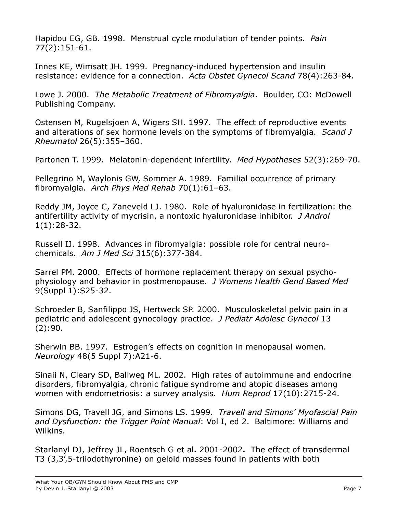Hapidou EG, GB. 1998. Menstrual cycle modulation of tender points. Pain 77(2):151-61.

Innes KE, Wimsatt JH. 1999. Pregnancy-induced hypertension and insulin resistance: evidence for a connection. Acta Obstet Gynecol Scand 78(4):263-84.

Lowe J. 2000. The Metabolic Treatment of Fibromyalgia. Boulder, CO: McDowell Publishing Company.

Ostensen M, Rugelsjoen A, Wigers SH. 1997. The effect of reproductive events and alterations of sex hormone levels on the symptoms of fibromyalgia. Scand J Rheumatol 26(5):355–360.

Partonen T. 1999. Melatonin-dependent infertility. Med Hypotheses 52(3):269-70.

Pellegrino M, Waylonis GW, Sommer A. 1989. Familial occurrence of primary fibromyalgia. Arch Phys Med Rehab 70(1):61–63.

Reddy JM, Joyce C, Zaneveld LJ. 1980. Role of hyaluronidase in fertilization: the antifertility activity of mycrisin, a nontoxic hyaluronidase inhibitor. J Androl 1(1):28-32.

Russell IJ. 1998. Advances in fibromyalgia: possible role for central neurochemicals. Am J Med Sci 315(6):377-384.

Sarrel PM. 2000. Effects of hormone replacement therapy on sexual psychophysiology and behavior in postmenopause. J Womens Health Gend Based Med 9(Suppl 1):S25-32.

Schroeder B, Sanfilippo JS, Hertweck SP. 2000. Musculoskeletal pelvic pain in a pediatric and adolescent gynocology practice. J Pediatr Adolesc Gynecol 13 (2):90.

Sherwin BB. 1997. Estrogen's effects on cognition in menopausal women. Neurology 48(5 Suppl 7):A21-6.

Sinaii N, Cleary SD, Ballweg ML. 2002. High rates of autoimmune and endocrine disorders, fibromyalgia, chronic fatigue syndrome and atopic diseases among women with endometriosis: a survey analysis. Hum Reprod 17(10):2715-24.

Simons DG, Travell JG, and Simons LS. 1999. Travell and Simons' Myofascial Pain and Dysfunction: the Trigger Point Manual: Vol I, ed 2. Baltimore: Williams and Wilkins.

Starlanyl DJ, Jeffrey JL, Roentsch G et al. 2001-2002. The effect of transdermal T3 (3,3',5-triiodothyronine) on geloid masses found in patients with both